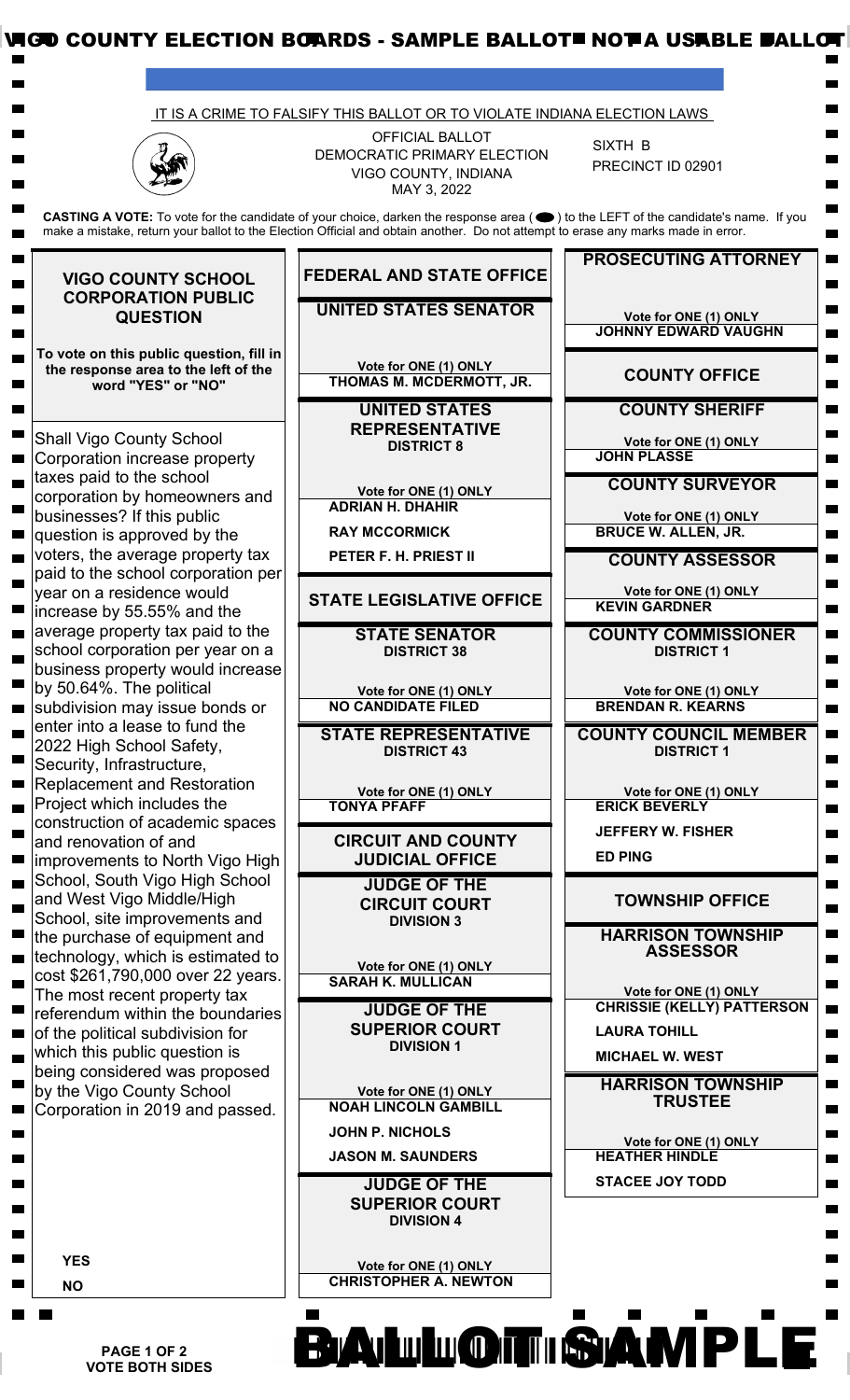